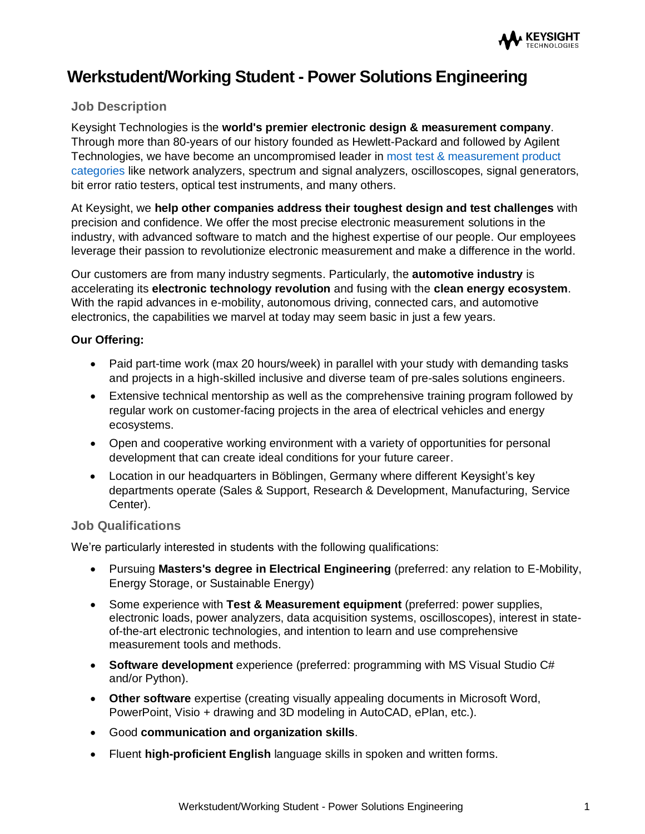

# **Werkstudent/Working Student - Power Solutions Engineering**

## **Job Description**

Keysight Technologies is the **world's premier electronic design & measurement company**. Through more than 80-years of our history founded as Hewlett-Packard and followed by Agilent Technologies, we have become an uncompromised leader in [most test & measurement product](https://www.keysight.com/us/en/products.html)  [categories](https://www.keysight.com/us/en/products.html) like network analyzers, spectrum and signal analyzers, oscilloscopes, signal generators, bit error ratio testers, optical test instruments, and many others.

At Keysight, we **help other companies address their toughest design and test challenges** with precision and confidence. We offer the most precise electronic measurement solutions in the industry, with advanced software to match and the highest expertise of our people. Our employees leverage their passion to revolutionize electronic measurement and make a difference in the world.

Our customers are from many industry segments. Particularly, the **automotive industry** is accelerating its **electronic technology revolution** and fusing with the **clean energy ecosystem**. With the rapid advances in e-mobility, autonomous driving, connected cars, and automotive electronics, the capabilities we marvel at today may seem basic in just a few years.

### **Our Offering:**

- Paid part-time work (max 20 hours/week) in parallel with your study with demanding tasks and projects in a high-skilled inclusive and diverse team of pre-sales solutions engineers.
- Extensive technical mentorship as well as the comprehensive training program followed by regular work on customer-facing projects in the area of electrical vehicles and energy ecosystems.
- Open and cooperative working environment with a variety of opportunities for personal development that can create ideal conditions for your future career.
- Location in our headquarters in Böblingen, Germany where different Keysight's key departments operate (Sales & Support, Research & Development, Manufacturing, Service Center).

### **Job Qualifications**

We're particularly interested in students with the following qualifications:

- Pursuing **Masters's degree in Electrical Engineering** (preferred: any relation to E-Mobility, Energy Storage, or Sustainable Energy)
- Some experience with **Test & Measurement equipment** (preferred: power supplies, electronic loads, power analyzers, data acquisition systems, oscilloscopes), interest in stateof-the-art electronic technologies, and intention to learn and use comprehensive measurement tools and methods.
- **Software development** experience (preferred: programming with MS Visual Studio C# and/or Python).
- **Other software** expertise (creating visually appealing documents in Microsoft Word, PowerPoint, Visio + drawing and 3D modeling in AutoCAD, ePlan, etc.).
- Good **communication and organization skills**.
- Fluent **high-proficient English** language skills in spoken and written forms.